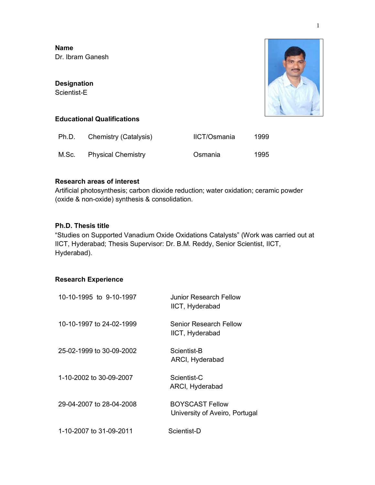**Name** Dr. Ibram Ganesh

#### **Designation**

Scientist-E



### **Educational Qualifications**

| Ph.D. | Chemistry (Catalysis)    | <b>IICT/Osmania</b> | 1999 |
|-------|--------------------------|---------------------|------|
|       | M.Sc. Physical Chemistry | Osmania             | 1995 |

## **Research areas of interest**

Artificial photosynthesis; carbon dioxide reduction; water oxidation; ceramic powder (oxide & non-oxide) synthesis & consolidation.

## **Ph.D. Thesis title**

"Studies on Supported Vanadium Oxide Oxidations Catalysts" (Work was carried out at IICT, Hyderabad; Thesis Supervisor: Dr. B.M. Reddy, Senior Scientist, IICT, Hyderabad).

# **Research Experience**

| 10-10-1995 to 9-10-1997  | Junior Research Fellow<br>IICT, Hyderabad                |
|--------------------------|----------------------------------------------------------|
| 10-10-1997 to 24-02-1999 | Senior Research Fellow<br>IICT, Hyderabad                |
| 25-02-1999 to 30-09-2002 | Scientist-B<br>ARCI, Hyderabad                           |
| 1-10-2002 to 30-09-2007  | Scientist-C<br>ARCI, Hyderabad                           |
| 29-04-2007 to 28-04-2008 | <b>BOYSCAST Fellow</b><br>University of Aveiro, Portugal |
| 1-10-2007 to 31-09-2011  | Scientist-D                                              |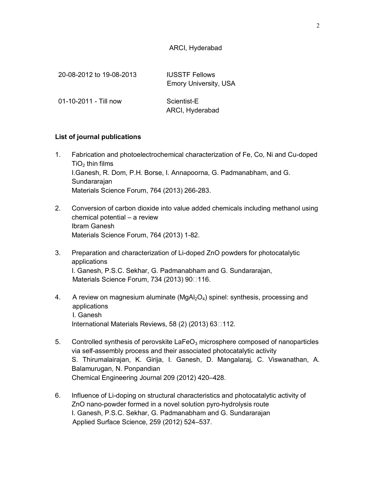## ARCI, Hyderabad

| 20-08-2012 to 19-08-2013 | <b>IUSSTF Fellows</b><br><b>Emory University, USA</b> |
|--------------------------|-------------------------------------------------------|
| 01-10-2011 - Till now    | Scientist-E<br>ARCI, Hyderabad                        |

#### **List of journal publications**

- 1. Fabrication and photoelectrochemical characterization of Fe, Co, Ni and Cu-doped  $TiO<sub>2</sub>$  thin films I.Ganesh, R. Dom, P.H. Borse, I. Annapoorna, G. Padmanabham, and G. **Sundararajan** Materials Science Forum, 764 (2013) 266-283.
- 2. Conversion of carbon dioxide into value added chemicals including methanol using chemical potential – a review Ibram Ganesh Materials Science Forum, 764 (2013) 1-82.
- 3. Preparation and characterization of Li-doped ZnO powders for photocatalytic applications I. Ganesh, P.S.C. Sekhar, G. Padmanabham and G. Sundararajan, Materials Science Forum, 734 (2013) 90<sup>116</sup>.
- 4. A review on magnesium aluminate ( $MqA<sub>2</sub>O<sub>4</sub>$ ) spinel: synthesis, processing and applications I. Ganesh International Materials Reviews, 58  $(2)$  (2013) 63 $\Box$ 112.
- 5. Controlled synthesis of perovskite  $LaFeO<sub>3</sub>$  microsphere composed of nanoparticles via self-assembly process and their associated photocatalytic activity S. Thirumalairajan, K. Girija, I. Ganesh, D. Mangalaraj, C. Viswanathan, A. Balamurugan, N. Ponpandian Chemical Engineering Journal 209 (2012) 420–428.
- 6. Influence of Li-doping on structural characteristics and photocatalytic activity of ZnO nano-powder formed in a novel solution pyro-hydrolysis route I. Ganesh, P.S.C. Sekhar, G. Padmanabham and G. Sundararajan Applied Surface Science, 259 (2012) 524–537.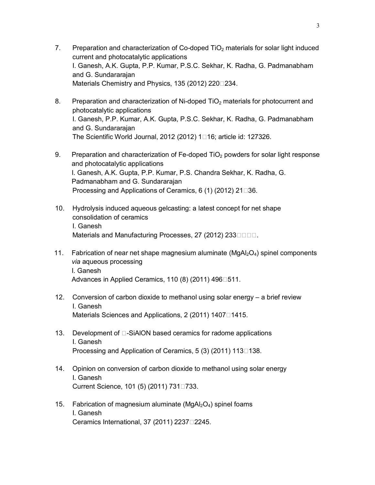- 7. Preparation and characterization of Co-doped TiO<sub>2</sub> materials for solar light induced current and photocatalytic applications I. Ganesh, A.K. Gupta, P.P. Kumar, P.S.C. Sekhar, K. Radha, G. Padmanabham and G. Sundararajan Materials Chemistry and Physics, 135 (2012) 220 234.
- 8. Preparation and characterization of Ni-doped TiO<sub>2</sub> materials for photocurrent and photocatalytic applications I. Ganesh, P.P. Kumar, A.K. Gupta, P.S.C. Sekhar, K. Radha, G. Padmanabham and G. Sundararajan The Scientific World Journal, 2012 (2012)  $1\square$ 16; article id: 127326.
- 9. Preparation and characterization of Fe-doped TiO<sub>2</sub> powders for solar light response and photocatalytic applications I. Ganesh, A.K. Gupta, P.P. Kumar, P.S. Chandra Sekhar, K. Radha, G. Padmanabham and G. Sundararajan Processing and Applications of Ceramics,  $6(1)(2012)$  21 $\square$ 36.
- 10. Hydrolysis induced aqueous gelcasting: a latest concept for net shape consolidation of ceramics I. Ganesh Materials and Manufacturing Processes, 27 (2012) 233
- 11. Fabrication of near net shape magnesium aluminate  $(MgAl<sub>2</sub>O<sub>4</sub>)$  spinel components *via* aqueous processing I. Ganesh Advances in Applied Ceramics, 110 (8) (2011) 496 $\square$ 511.
- 12. Conversion of carbon dioxide to methanol using solar energy a brief review I. Ganesh Materials Sciences and Applications, 2 (2011)  $1407\square 1415$ .
- 13. Development of  $\square$ -SiAION based ceramics for radome applications I. Ganesh Processing and Application of Ceramics,  $5(3)(2011)$  113 $\square$ 138.
- 14. Opinion on conversion of carbon dioxide to methanol using solar energy I. Ganesh Current Science, 101 (5) (2011) 731□733.
- 15. Fabrication of magnesium aluminate ( $MgAl<sub>2</sub>O<sub>4</sub>$ ) spinel foams I. Ganesh Ceramics International, 37 (2011) 2237 $\square$ 2245.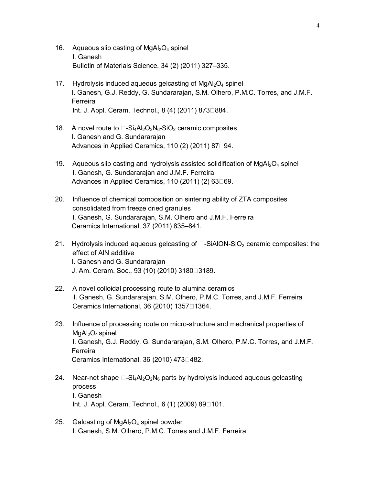- 16. Aqueous slip casting of  $MqA<sub>2</sub>O<sub>4</sub>$  spinel I. Ganesh Bulletin of Materials Science, 34 (2) (2011) 327–335.
- 17. Hydrolysis induced aqueous gelcasting of  $MgA<sub>2</sub>O<sub>4</sub>$  spinel I. Ganesh, G.J. Reddy, G. Sundararajan, S.M. Olhero, P.M.C. Torres, and J.M.F. Ferreira Int. J. Appl. Ceram. Technol., 8 (4) (2011) 873□884.
- 18. A novel route to  $\Box$ -Si<sub>4</sub>Al<sub>2</sub>O<sub>2</sub>N<sub>6</sub>-SiO<sub>2</sub> ceramic composites I. Ganesh and G. Sundararajan Advances in Applied Ceramics, 110 (2) (2011) 87 $\square$ 94.
- 19. Aqueous slip casting and hydrolysis assisted solidification of  $MgAl<sub>2</sub>O<sub>4</sub>$  spinel I. Ganesh, G. Sundararajan and J.M.F. Ferreira Advances in Applied Ceramics, 110 (2011) (2) 63 $\square$ 69.
- 20. Influence of chemical composition on sintering ability of ZTA composites consolidated from freeze dried granules I. Ganesh, G. Sundararajan, S.M. Olhero and J.M.F. Ferreira Ceramics International, 37 (2011) 835–841.
- 21. Hydrolysis induced aqueous gelcasting of  $\Box$ -SiAION-SiO<sub>2</sub> ceramic composites: the effect of AlN additive I. Ganesh and G. Sundararajan J. Am. Ceram. Soc., 93 (10) (2010) 3180□3189.
- 22. A novel colloidal processing route to alumina ceramics I. Ganesh, G. Sundararajan, S.M. Olhero, P.M.C. Torres, and J.M.F. Ferreira Ceramics International, 36 (2010) 1357 $\Box$ 1364.
- 23. Influence of processing route on micro-structure and mechanical properties of  $MgAl<sub>2</sub>O<sub>4</sub>$  spinel I. Ganesh, G.J. Reddy, G. Sundararajan, S.M. Olhero, P.M.C. Torres, and J.M.F. Ferreira Ceramics International, 36 (2010) 473 $\Box$ 482.
- 24. Near-net shape  $\Box$ -Si<sub>4</sub>Al<sub>2</sub>O<sub>2</sub>N<sub>6</sub> parts by hydrolysis induced aqueous gelcasting process I. Ganesh Int. J. Appl. Ceram. Technol., 6 (1) (2009) 89 $\square$ 101.
- 25. Galcasting of  $MgAl<sub>2</sub>O<sub>4</sub>$  spinel powder I. Ganesh, S.M. Olhero, P.M.C. Torres and J.M.F. Ferreira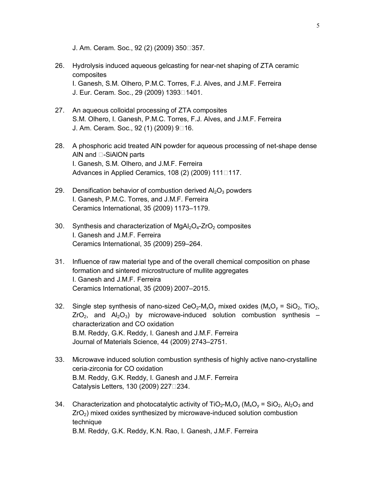J. Am. Ceram. Soc., 92 (2) (2009) 350<sup>1</sup>357.

- 26. Hydrolysis induced aqueous gelcasting for near-net shaping of ZTA ceramic composites I. Ganesh, S.M. Olhero, P.M.C. Torres, F.J. Alves, and J.M.F. Ferreira J. Eur. Ceram. Soc., 29 (2009) 1393<sup>1401</sup>.
- 27. An aqueous colloidal processing of ZTA composites S.M. Olhero, I. Ganesh, P.M.C. Torres, F.J. Alves, and J.M.F. Ferreira J. Am. Ceram. Soc., 92 (1) (2009) 9<sup>16</sup>.
- 28. A phosphoric acid treated AlN powder for aqueous processing of net-shape dense AIN and  $\square$ -SiAION parts I. Ganesh, S.M. Olhero, and J.M.F. Ferreira Advances in Applied Ceramics, 108 (2) (2009) 111 $\square$ 117.
- 29. Densification behavior of combustion derived  $Al_2O_3$  powders I. Ganesh, P.M.C. Torres, and J.M.F. Ferreira Ceramics International, 35 (2009) 1173–1179.
- 30. Synthesis and characterization of  $MqAl<sub>2</sub>O<sub>4</sub>-ZrO<sub>2</sub>$  composites I. Ganesh and J.M.F. Ferreira Ceramics International, 35 (2009) 259–264.
- 31. Influence of raw material type and of the overall chemical composition on phase formation and sintered microstructure of mullite aggregates I. Ganesh and J.M.F. Ferreira Ceramics International, 35 (2009) 2007–2015.
- 32. Single step synthesis of nano-sized  $CeO<sub>2</sub>-M<sub>x</sub>O<sub>y</sub>$  mixed oxides  $(M<sub>x</sub>O<sub>y</sub> = SiO<sub>2</sub>, TiO<sub>2</sub>$ ,  $ZrO<sub>2</sub>$ , and  $Al<sub>2</sub>O<sub>3</sub>$ ) by microwave-induced solution combustion synthesis – characterization and CO oxidation B.M. Reddy, G.K. Reddy, I. Ganesh and J.M.F. Ferreira Journal of Materials Science, 44 (2009) 2743–2751.
- 33. Microwave induced solution combustion synthesis of highly active nano-crystalline ceria-zirconia for CO oxidation B.M. Reddy, G.K. Reddy, I. Ganesh and J.M.F. Ferreira Catalysis Letters, 130 (2009) 227<sup>1</sup>234.
- 34. Characterization and photocatalytic activity of TiO<sub>2</sub>-M<sub>x</sub>O<sub>y</sub> (M<sub>x</sub>O<sub>y</sub> = SiO<sub>2</sub>, Al<sub>2</sub>O<sub>3</sub> and  $ZrO<sub>2</sub>$ ) mixed oxides synthesized by microwave-induced solution combustion technique B.M. Reddy, G.K. Reddy, K.N. Rao, I. Ganesh, J.M.F. Ferreira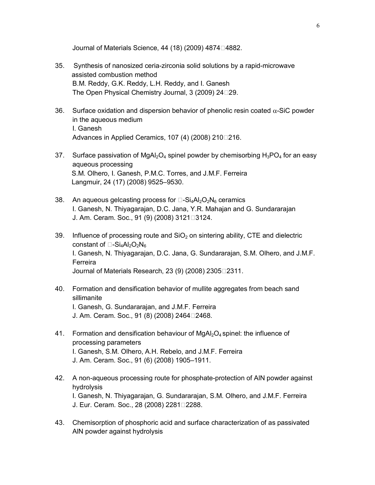Journal of Materials Science,  $44$  (18) (2009) 4874 $\Box$ 4882.

- 35. Synthesis of nanosized ceria-zirconia solid solutions by a rapid-microwave assisted combustion method B.M. Reddy, G.K. Reddy, L.H. Reddy, and I. Ganesh The Open Physical Chemistry Journal, 3 (2009) 24 29.
- 36. Surface oxidation and dispersion behavior of phenolic resin coated  $\alpha$ -SiC powder in the aqueous medium I. Ganesh Advances in Applied Ceramics, 107 (4) (2008) 210 $\square$ 16.
- 37. Surface passivation of MgAl<sub>2</sub>O<sub>4</sub> spinel powder by chemisorbing  $H_3PO_4$  for an easy aqueous processing S.M. Olhero, I. Ganesh, P.M.C. Torres, and J.M.F. Ferreira Langmuir, 24 (17) (2008) 9525–9530.
- 38. An aqueous gelcasting process for  $\Box$ -Si<sub>4</sub>Al<sub>2</sub>O<sub>2</sub>N<sub>6</sub> ceramics I. Ganesh, N. Thiyagarajan, D.C. Jana, Y.R. Mahajan and G. Sundararajan J. Am. Ceram. Soc., 91 (9) (2008) 3121 3124.
- 39. Influence of processing route and  $SiO<sub>2</sub>$  on sintering ability, CTE and dielectric constant of  $\Box$ -Si<sub>4</sub>Al<sub>2</sub>O<sub>2</sub>N<sub>6</sub> I. Ganesh, N. Thiyagarajan, D.C. Jana, G. Sundararajan, S.M. Olhero, and J.M.F. Ferreira Journal of Materials Research, 23 (9) (2008) 23052311.
- 40. Formation and densification behavior of mullite aggregates from beach sand sillimanite I. Ganesh, G. Sundararajan, and J.M.F. Ferreira J. Am. Ceram. Soc., 91 (8) (2008) 2464□2468.
- 41. Formation and densification behaviour of  $MgAl<sub>2</sub>O<sub>4</sub>$  spinel: the influence of processing parameters I. Ganesh, S.M. Olhero, A.H. Rebelo, and J.M.F. Ferreira J. Am. Ceram. Soc., 91 (6) (2008) 1905–1911.
- 42. A non-aqueous processing route for phosphate-protection of AlN powder against hydrolysis I. Ganesh, N. Thiyagarajan, G. Sundararajan, S.M. Olhero, and J.M.F. Ferreira J. Eur. Ceram. Soc., 28 (2008) 2281 2288.
- 43. Chemisorption of phosphoric acid and surface characterization of as passivated AlN powder against hydrolysis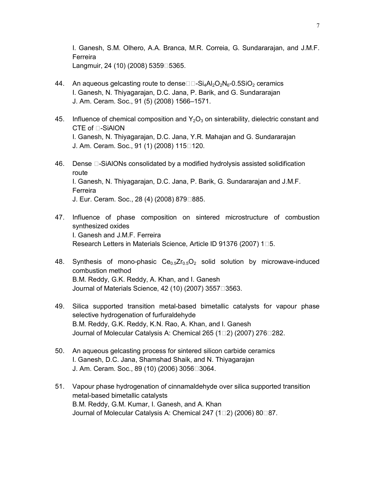I. Ganesh, S.M. Olhero, A.A. Branca, M.R. Correia, G. Sundararajan, and J.M.F. Ferreira Langmuir, 24 (10) (2008) 5359 $\square$ 5365.

- 44. An aqueous gelcasting route to dense $\Box$ -Si<sub>4</sub>Al<sub>2</sub>O<sub>2</sub>N<sub>6</sub>-0.5SiO<sub>2</sub> ceramics I. Ganesh, N. Thiyagarajan, D.C. Jana, P. Barik, and G. Sundararajan J. Am. Ceram. Soc., 91 (5) (2008) 1566–1571.
- 45. Influence of chemical composition and  $Y_2O_3$  on sinterability, dielectric constant and  $CTE$  of  $\Box$ -SiAION I. Ganesh, N. Thiyagarajan, D.C. Jana, Y.R. Mahajan and G. Sundararajan J. Am. Ceram. Soc., 91 (1) (2008) 115<sup>1</sup>20.
- 46. Dense  $\Box$ -SiAIONs consolidated by a modified hydrolysis assisted solidification route I. Ganesh, N. Thiyagarajan, D.C. Jana, P. Barik, G. Sundararajan and J.M.F. Ferreira J. Eur. Ceram. Soc., 28 (4) (2008) 879<sup>1885</sup>.
- 47. Influence of phase composition on sintered microstructure of combustion synthesized oxides I. Ganesh and J.M.F. Ferreira Research Letters in Materials Science, Article ID 91376 (2007) 1 $\square$ 5.
- 48. Synthesis of mono-phasic  $Ce_{0.5}Zr_{0.5}O_2$  solid solution by microwave-induced combustion method B.M. Reddy, G.K. Reddy, A. Khan, and I. Ganesh Journal of Materials Science, 42 (10) (2007) 3557 $\Box$ 3563.
- 49. Silica supported transition metal-based bimetallic catalysts for vapour phase selective hydrogenation of furfuraldehyde B.M. Reddy, G.K. Reddy, K.N. Rao, A. Khan, and I. Ganesh Journal of Molecular Catalysis A: Chemical 265 (1<sup>1</sup>2) (2007) 276<sup>1</sup>282.
- 50. An aqueous gelcasting process for sintered silicon carbide ceramics I. Ganesh, D.C. Jana, Shamshad Shaik, and N. Thiyagarajan J. Am. Ceram. Soc., 89 (10) (2006) 3056□3064.
- 51. Vapour phase hydrogenation of cinnamaldehyde over silica supported transition metal-based bimetallic catalysts B.M. Reddy, G.M. Kumar, I. Ganesh, and A. Khan Journal of Molecular Catalysis A: Chemical 247 (1 $\square$ 2) (2006) 80 $\square$ 87.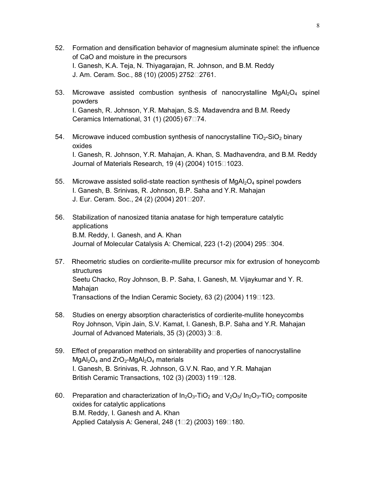- 52. Formation and densification behavior of magnesium aluminate spinel: the influence of CaO and moisture in the precursors I. Ganesh, K.A. Teja, N. Thiyagarajan, R. Johnson, and B.M. Reddy J. Am. Ceram. Soc., 88 (10) (2005) 2752□ 2761.
- 53. Microwave assisted combustion synthesis of nanocrystalline  $MqA<sub>1</sub>Q<sub>4</sub>$  spinel powders I. Ganesh, R. Johnson, Y.R. Mahajan, S.S. Madavendra and B.M. Reedy Ceramics International, 31 $(1)$  (2005) 67 $\square$ 74.
- 54. Microwave induced combustion synthesis of nanocrystalline  $TiO<sub>2</sub>-SiO<sub>2</sub>$  binary oxides I. Ganesh, R. Johnson, Y.R. Mahajan, A. Khan, S. Madhavendra, and B.M. Reddy Journal of Materials Research, 19 $(4)$  $(2004)$  1015 $\Box$ 1023.
- 55. Microwave assisted solid-state reaction synthesis of  $MgAl<sub>2</sub>O<sub>4</sub>$  spinel powders I. Ganesh, B. Srinivas, R. Johnson, B.P. Saha and Y.R. Mahajan J. Eur. Ceram. Soc., 24 (2) (2004) 201207.
- 56. Stabilization of nanosized titania anatase for high temperature catalytic applications B.M. Reddy, I. Ganesh, and A. Khan Journal of Molecular Catalysis A: Chemical, 223 (1-2) (2004) 295<sup>1</sup>304.
- 57. Rheometric studies on cordierite-mullite precursor mix for extrusion of honeycomb structures Seetu Chacko, Roy Johnson, B. P. Saha, I. Ganesh, M. Vijaykumar and Y. R. Mahajan Transactions of the Indian Ceramic Society, 63 (2) (2004) 119 $\square$ 123.
- 58. Studies on energy absorption characteristics of cordierite-mullite honeycombs Roy Johnson, Vipin Jain, S.V. Kamat, I. Ganesh, B.P. Saha and Y.R. Mahajan Journal of Advanced Materials, 35 (3) (2003)  $3\square 8$ .
- 59. Effect of preparation method on sinterability and properties of nanocrystalline  $MgAl<sub>2</sub>O<sub>4</sub>$  and  $ZrO<sub>2</sub>$ -MgAl<sub>2</sub>O<sub>4</sub> materials I. Ganesh, B. Srinivas, R. Johnson, G.V.N. Rao, and Y.R. Mahajan British Ceramic Transactions, 102 (3) (2003) 119 $\square$ 128.
- 60. Preparation and characterization of  $In_2O_3$ -TiO<sub>2</sub> and  $V_2O_5/ In_2O_3$ -TiO<sub>2</sub> composite oxides for catalytic applications B.M. Reddy, I. Ganesh and A. Khan Applied Catalysis A: General, 248  $(1\Box 2)$  (2003) 169 $\Box$ 180.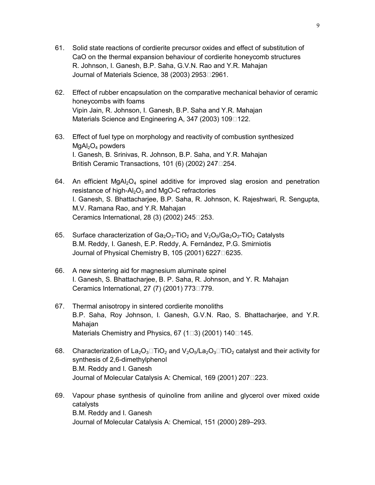- 61. Solid state reactions of cordierite precursor oxides and effect of substitution of CaO on the thermal expansion behaviour of cordierite honeycomb structures R. Johnson, I. Ganesh, B.P. Saha, G.V.N. Rao and Y.R. Mahajan Journal of Materials Science, 38 (2003) 2953 $\square$ 2961.
- 62. Effect of rubber encapsulation on the comparative mechanical behavior of ceramic honeycombs with foams Vipin Jain, R. Johnson, I. Ganesh, B.P. Saha and Y.R. Mahajan Materials Science and Engineering A, 347 (2003) 109 $\square$ 122.
- 63. Effect of fuel type on morphology and reactivity of combustion synthesized  $MgAl<sub>2</sub>O<sub>4</sub>$  powders I. Ganesh, B. Srinivas, R. Johnson, B.P. Saha, and Y.R. Mahajan British Ceramic Transactions, 101 (6) (2002) 247 $\square$ 254.
- 64. An efficient MgAl<sub>2</sub>O<sub>4</sub> spinel additive for improved slag erosion and penetration resistance of high- $Al_2O_3$  and MgO-C refractories I. Ganesh, S. Bhattacharjee, B.P. Saha, R. Johnson, K. Rajeshwari, R. Sengupta, M.V. Ramana Rao, and Y.R. Mahajan Ceramics International, 28 $(3)$  $(2002)$  245 $\square$ 253.
- 65. Surface characterization of  $Ga_2O_3$ -TiO<sub>2</sub> and  $V_2O_5/Ga_2O_3$ -TiO<sub>2</sub> Catalysts B.M. Reddy, I. Ganesh, E.P. Reddy, A. Fernández, P.G. Smirniotis Journal of Physical Chemistry B, 105 (2001) 6227 $\Box$ 6235.
- 66. A new sintering aid for magnesium aluminate spinel I. Ganesh, S. Bhattacharjee, B. P. Saha, R. Johnson, and Y. R. Mahajan Ceramics International, 27 (7) (2001) 773 $\square$ 779.
- 67. Thermal anisotropy in sintered cordierite monoliths B.P. Saha, Roy Johnson, I. Ganesh, G.V.N. Rao, S. Bhattacharjee, and Y.R. Mahajan Materials Chemistry and Physics, 67  $(1\Box 3)$  (2001) 140 $\Box$ 145.
- 68. Characterization of La<sub>2</sub>O<sub>3</sub> $\Box$ TiO<sub>2</sub> and V<sub>2</sub>O<sub>5</sub>/La<sub>2</sub>O<sub>3</sub> $\Box$ TiO<sub>2</sub> catalyst and their activity for synthesis of 2,6-dimethylphenol B.M. Reddy and I. Ganesh Journal of Molecular Catalysis A: Chemical, 169 (2001) 2071223.
- 69. Vapour phase synthesis of quinoline from aniline and glycerol over mixed oxide catalysts B.M. Reddy and I. Ganesh Journal of Molecular Catalysis A: Chemical, 151 (2000) 289–293.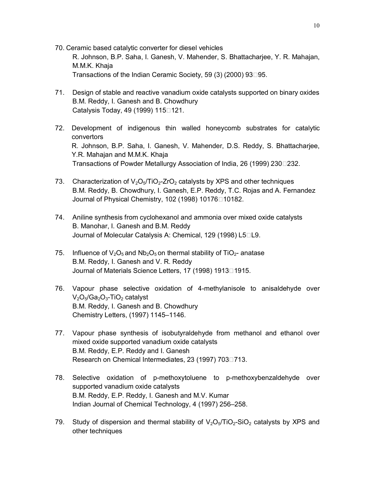- 70. Ceramic based catalytic converter for diesel vehicles R. Johnson, B.P. Saha, I. Ganesh, V. Mahender, S. Bhattacharjee, Y. R. Mahajan, M.M.K. Khaja Transactions of the Indian Ceramic Society, 59  $(3)$  (2000) 93 $\square$ 95.
- 71. Design of stable and reactive vanadium oxide catalysts supported on binary oxides B.M. Reddy, I. Ganesh and B. Chowdhury Catalysis Today, 49 (1999) 115<sup>1</sup>21.
- 72. Development of indigenous thin walled honeycomb substrates for catalytic convertors R. Johnson, B.P. Saha, I. Ganesh, V. Mahender, D.S. Reddy, S. Bhattacharjee, Y.R. Mahajan and M.M.K. Khaja Transactions of Powder Metallurgy Association of India, 26 (1999) 230 232.
- 73. Characterization of  $V_2O_5/TiO_2$ -ZrO<sub>2</sub> catalysts by XPS and other techniques B.M. Reddy, B. Chowdhury, I. Ganesh, E.P. Reddy, T.C. Rojas and A. Fernandez Journal of Physical Chemistry, 102 (1998) 10176<sup>10182</sup>.
- 74. Aniline synthesis from cyclohexanol and ammonia over mixed oxide catalysts B. Manohar, I. Ganesh and B.M. Reddy Journal of Molecular Catalysis A: Chemical, 129 (1998) L5<sup>1</sup>L9.
- 75. Influence of  $V_2O_5$  and  $Nb_2O_5$  on thermal stability of TiO<sub>2</sub>- anatase B.M. Reddy, I. Ganesh and V. R. Reddy Journal of Materials Science Letters, 17 (1998) 1913<sup>1915</sup>.
- 76. Vapour phase selective oxidation of 4-methylanisole to anisaldehyde over  $V_2O_5/Ga_2O_3$ -TiO<sub>2</sub> catalyst B.M. Reddy, I. Ganesh and B. Chowdhury Chemistry Letters, (1997) 1145–1146.
- 77. Vapour phase synthesis of isobutyraldehyde from methanol and ethanol over mixed oxide supported vanadium oxide catalysts B.M. Reddy, E.P. Reddy and I. Ganesh Research on Chemical Intermediates, 23 (1997) 703<sup>[713]</sup>.
- 78. Selective oxidation of p-methoxytoluene to p-methoxybenzaldehyde over supported vanadium oxide catalysts B.M. Reddy, E.P. Reddy, I. Ganesh and M.V. Kumar Indian Journal of Chemical Technology, 4 (1997) 256–258.
- 79. Study of dispersion and thermal stability of  $V_2O_5/TiO_2-SiO_2$  catalysts by XPS and other techniques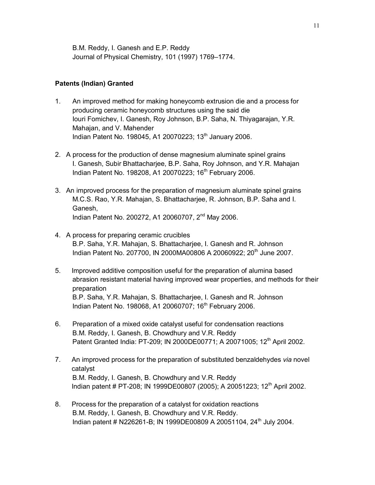B.M. Reddy, I. Ganesh and E.P. Reddy Journal of Physical Chemistry, 101 (1997) 1769–1774.

## **Patents (Indian) Granted**

- 1. An improved method for making honeycomb extrusion die and a process for producing ceramic honeycomb structures using the said die Iouri Fomichev, I. Ganesh, Roy Johnson, B.P. Saha, N. Thiyagarajan, Y.R. Mahajan, and V. Mahender Indian Patent No. 198045, A1 20070223; 13<sup>th</sup> January 2006.
- 2. A process for the production of dense magnesium aluminate spinel grains I. Ganesh, Subir Bhattacharjee, B.P. Saha, Roy Johnson, and Y.R. Mahajan Indian Patent No. 198208, A1 20070223; 16<sup>th</sup> February 2006.
- 3. An improved process for the preparation of magnesium aluminate spinel grains M.C.S. Rao, Y.R. Mahajan, S. Bhattacharjee, R. Johnson, B.P. Saha and I. Ganesh, Indian Patent No. 200272, A1 20060707, 2nd May 2006.
- 4. A process for preparing ceramic crucibles B.P. Saha, Y.R. Mahajan, S. Bhattacharjee, I. Ganesh and R. Johnson Indian Patent No. 207700, IN 2000MA00806 A 20060922; 20<sup>th</sup> June 2007.
- 5. Improved additive composition useful for the preparation of alumina based abrasion resistant material having improved wear properties, and methods for their preparation B.P. Saha, Y.R. Mahajan, S. Bhattacharjee, I. Ganesh and R. Johnson Indian Patent No. 198068, A1 20060707; 16<sup>th</sup> February 2006.
- 6. Preparation of a mixed oxide catalyst useful for condensation reactions B.M. Reddy, I. Ganesh, B. Chowdhury and V.R. Reddy Patent Granted India: PT-209; IN 2000DE00771; A 20071005; 12<sup>th</sup> April 2002.
- 7. An improved process for the preparation of substituted benzaldehydes *via* novel catalyst B.M. Reddy, I. Ganesh, B. Chowdhury and V.R. Reddy Indian patent # PT-208; IN 1999DE00807 (2005); A 20051223; 12<sup>th</sup> April 2002.
- 8. Process for the preparation of a catalyst for oxidation reactions B.M. Reddy, I. Ganesh, B. Chowdhury and V.R. Reddy. Indian patent # N226261-B; IN 1999DE00809 A 20051104, 24<sup>th</sup> July 2004.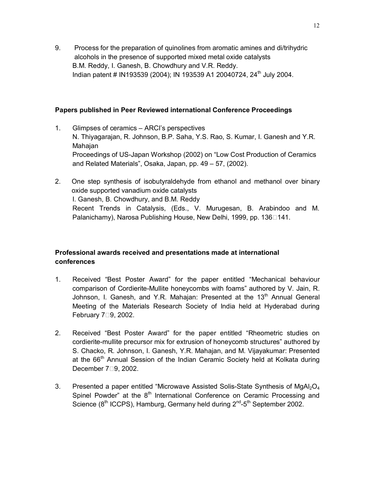9. Process for the preparation of quinolines from aromatic amines and di/trihydric alcohols in the presence of supported mixed metal oxide catalysts B.M. Reddy, I. Ganesh, B. Chowdhury and V.R. Reddy. Indian patent # IN193539 (2004); IN 193539 A1 20040724, 24<sup>th</sup> July 2004.

#### **Papers published in Peer Reviewed international Conference Proceedings**

- 1. Glimpses of ceramics ARCI's perspectives N. Thiyagarajan, R. Johnson, B.P. Saha, Y.S. Rao, S. Kumar, I. Ganesh and Y.R. Mahajan Proceedings of US-Japan Workshop (2002) on "Low Cost Production of Ceramics and Related Materials", Osaka, Japan, pp. 49 – 57, (2002).
- 2. One step synthesis of isobutyraldehyde from ethanol and methanol over binary oxide supported vanadium oxide catalysts I. Ganesh, B. Chowdhury, and B.M. Reddy Recent Trends in Catalysis, (Eds., V. Murugesan, B. Arabindoo and M. Palanichamy), Narosa Publishing House, New Delhi, 1999, pp. 136141.

# **Professional awards received and presentations made at international conferences**

- 1. Received "Best Poster Award" for the paper entitled "Mechanical behaviour comparison of Cordierite-Mullite honeycombs with foams" authored by V. Jain, R. Johnson, I. Ganesh, and Y.R. Mahajan: Presented at the 13<sup>th</sup> Annual General Meeting of the Materials Research Society of India held at Hyderabad during February  $7\square 9$ , 2002.
- 2. Received "Best Poster Award" for the paper entitled "Rheometric studies on cordierite-mullite precursor mix for extrusion of honeycomb structures" authored by S. Chacko, R. Johnson, I. Ganesh, Y.R. Mahajan, and M. Vijayakumar: Presented at the  $66<sup>th</sup>$  Annual Session of the Indian Ceramic Society held at Kolkata during December 7<sup>19</sup>, 2002.
- 3. Presented a paper entitled "Microwave Assisted Solis-State Synthesis of MgAl<sub>2</sub>O<sub>4</sub> Spinel Powder" at the 8<sup>th</sup> International Conference on Ceramic Processing and Science ( $8<sup>th</sup>$  ICCPS), Hamburg, Germany held during  $2<sup>nd</sup>$ -5<sup>th</sup> September 2002.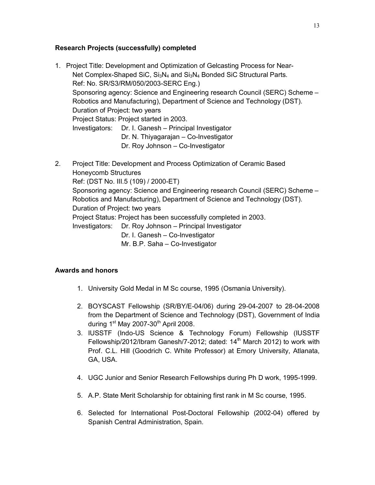# **Research Projects (successfully) completed**

- 1. Project Title: Development and Optimization of Gelcasting Process for Near-Net Complex-Shaped SiC,  $Si<sub>3</sub>N<sub>4</sub>$  and  $Si<sub>3</sub>N<sub>4</sub>$  Bonded SiC Structural Parts. Ref: No. SR/S3/RM/050/2003-SERC Eng.) Sponsoring agency: Science and Engineering research Council (SERC) Scheme – Robotics and Manufacturing), Department of Science and Technology (DST). Duration of Project: two years Project Status: Project started in 2003. Investigators: Dr. I. Ganesh – Principal Investigator Dr. N. Thiyagarajan – Co-Investigator Dr. Roy Johnson – Co-Investigator
- 2. Project Title: Development and Process Optimization of Ceramic Based Honeycomb Structures Ref: (DST No. III.5 (109) / 2000-ET) Sponsoring agency: Science and Engineering research Council (SERC) Scheme – Robotics and Manufacturing), Department of Science and Technology (DST). Duration of Project: two years Project Status: Project has been successfully completed in 2003. Investigators: Dr. Roy Johnson – Principal Investigator Dr. I. Ganesh – Co-Investigator Mr. B.P. Saha – Co-Investigator

# **Awards and honors**

- 1. University Gold Medal in M Sc course, 1995 (Osmania University).
- 2. BOYSCAST Fellowship (SR/BY/E-04/06) during 29-04-2007 to 28-04-2008 from the Department of Science and Technology (DST), Government of India during  $1<sup>st</sup>$  May 2007-30<sup>th</sup> April 2008.
- 3. IUSSTF (Indo-US Science & Technology Forum) Fellowship (IUSSTF Fellowship/2012/Ibram Ganesh/7-2012; dated:  $14<sup>th</sup>$  March 2012) to work with Prof. C.L. Hill (Goodrich C. White Professor) at Emory University, Atlanata, GA, USA.
- 4. UGC Junior and Senior Research Fellowships during Ph D work, 1995-1999.
- 5. A.P. State Merit Scholarship for obtaining first rank in M Sc course, 1995.
- 6. Selected for International Post-Doctoral Fellowship (2002-04) offered by Spanish Central Administration, Spain.